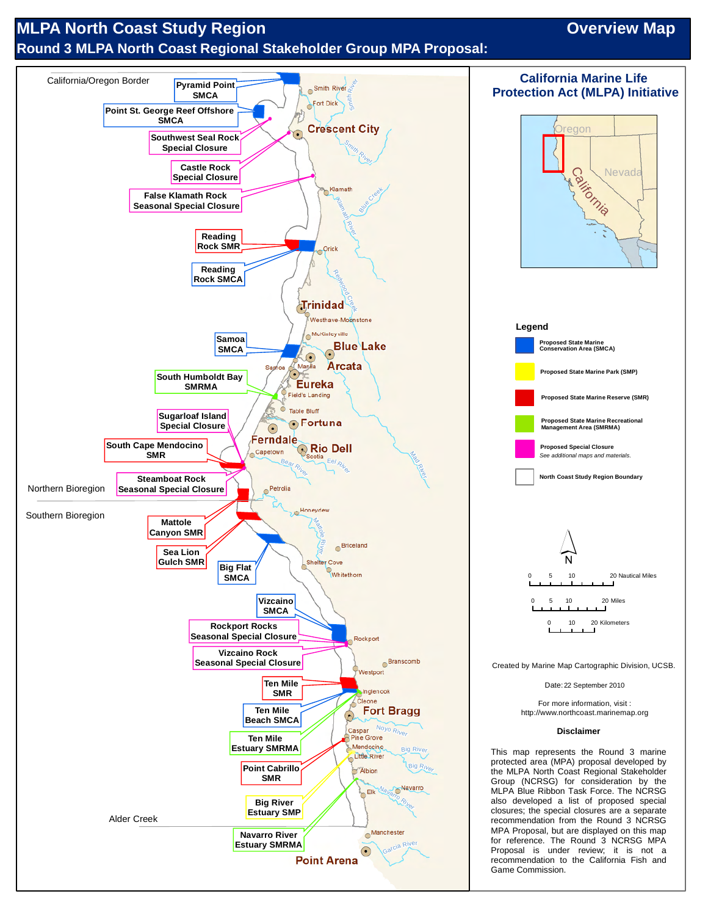# **MLPA North Coast Study Region Contact Study Region Contact Study Region Contact Study Region Contact Study Region Round 3 MLPA North Coast Regional Stakeholder Group MPA Proposal:**

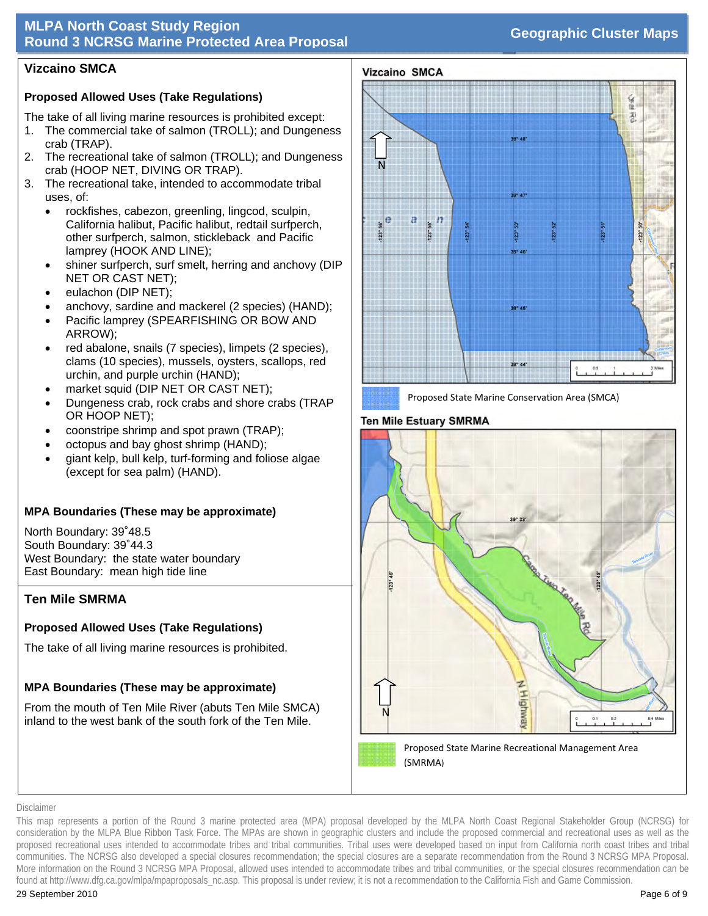## **MLPA North Coast Study Region Round 3 NCRSG Marine Protected Area Proposal Geographic Cluster Maps**

## **Vizcaino SMCA**

## **Proposed Allowed Uses (Take Regulations)**

The take of all living marine resources is prohibited except:

- 1. The commercial take of salmon (TROLL); and Dungeness crab (TRAP).
- 2. The recreational take of salmon (TROLL); and Dungeness crab (HOOP NET, DIVING OR TRAP).
- 3. The recreational take, intended to accommodate tribal uses, of:
	- rockfishes, cabezon, greenling, lingcod, sculpin, California halibut, Pacific halibut, redtail surfperch, other surfperch, salmon, stickleback and Pacific lamprey (HOOK AND LINE);
	- shiner surfperch, surf smelt, herring and anchovy (DIP NET OR CAST NET);
	- eulachon (DIP NET);
	- anchovy, sardine and mackerel (2 species) (HAND);
	- Pacific lamprey (SPEARFISHING OR BOW AND ARROW);
	- red abalone, snails (7 species), limpets (2 species), clams (10 species), mussels, oysters, scallops, red urchin, and purple urchin (HAND);
	- market squid (DIP NET OR CAST NET);
	- Dungeness crab, rock crabs and shore crabs (TRAP OR HOOP NET);
	- coonstripe shrimp and spot prawn (TRAP);
	- octopus and bay ghost shrimp (HAND);
	- giant kelp, bull kelp, turf-forming and foliose algae (except for sea palm) (HAND).

## **MPA Boundaries (These may be approximate)**

North Boundary: 39˚48.5 South Boundary: 39˚44.3 West Boundary: the state water boundary East Boundary: mean high tide line

## **Ten Mile SMRMA**

# **Proposed Allowed Uses (Take Regulations)**

The take of all living marine resources is prohibited.

# **MPA Boundaries (These may be approximate)**

From the mouth of Ten Mile River (abuts Ten Mile SMCA) inland to the west bank of the south fork of the Ten Mile.



Proposed State Marine Conservation Area (SMCA)

## **Ten Mile Estuary SMRMA**



#### Disclaimer

This map represents a portion of the Round 3 marine protected area (MPA) proposal developed by the MLPA North Coast Regional Stakeholder Group (NCRSG) for consideration by the MLPA Blue Ribbon Task Force. The MPAs are shown in geographic clusters and include the proposed commercial and recreational uses as well as the proposed recreational uses intended to accommodate tribes and tribal communities. Tribal uses were developed based on input from California north coast tribes and tribal communities. The NCRSG also developed a special closures recommendation; the special closures are a separate recommendation from the Round 3 NCRSG MPA Proposal. More information on the Round 3 NCRSG MPA Proposal, allowed uses intended to accommodate tribes and tribal communities, or the special closures recommendation can be found at http://www.dfg.ca.gov/mlpa/mpaproposals\_nc.asp. This proposal is under review; it is not a recommendation to the California Fish and Game Commission.

Vizcaino SMCA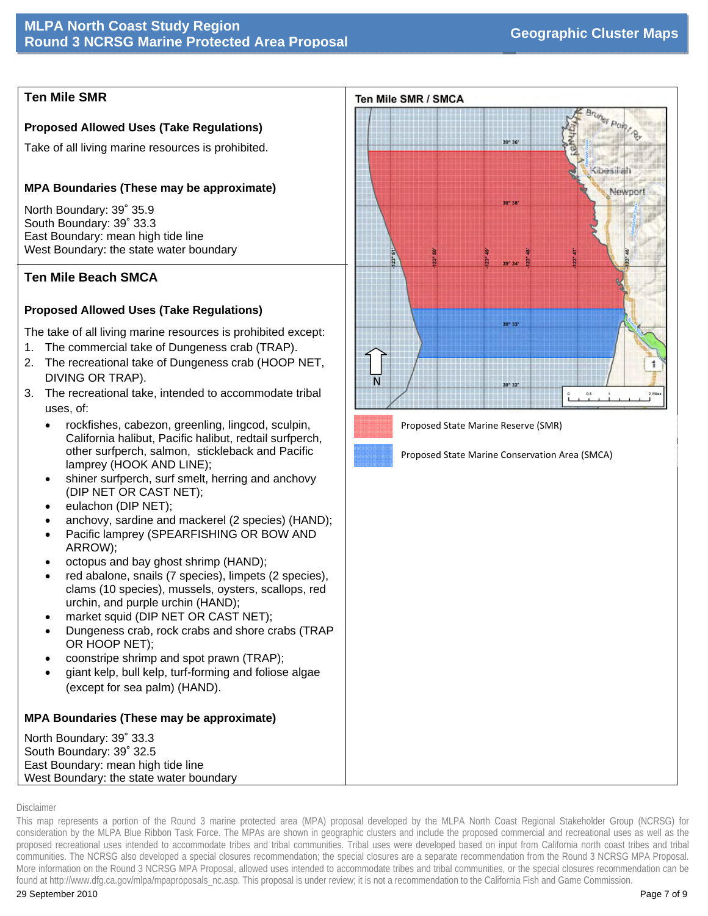## **Ten Mile SMR**

#### **Proposed Allowed Uses (Take Regulations)**

Take of all living marine resources is prohibited.

#### **MPA Boundaries (These may be approximate)**

North Boundary: 39˚ 35.9 South Boundary: 39˚ 33.3 East Boundary: mean high tide line West Boundary: the state water boundary

### **Ten Mile Beach SMCA**

#### **Proposed Allowed Uses (Take Regulations)**

The take of all living marine resources is prohibited except:

- 1. The commercial take of Dungeness crab (TRAP).
- 2. The recreational take of Dungeness crab (HOOP NET, DIVING OR TRAP).
- 3. The recreational take, intended to accommodate tribal uses, of:
	- rockfishes, cabezon, greenling, lingcod, sculpin, California halibut, Pacific halibut, redtail surfperch, other surfperch, salmon, stickleback and Pacific lamprey (HOOK AND LINE);
	- shiner surfperch, surf smelt, herring and anchovy (DIP NET OR CAST NET);
	- eulachon (DIP NET);
	- anchovy, sardine and mackerel (2 species) (HAND);
	- Pacific lamprey (SPEARFISHING OR BOW AND ARROW);
	- octopus and bay ghost shrimp (HAND);
	- red abalone, snails (7 species), limpets (2 species), clams (10 species), mussels, oysters, scallops, red urchin, and purple urchin (HAND);
	- market squid (DIP NET OR CAST NET);
	- Dungeness crab, rock crabs and shore crabs (TRAP OR HOOP NET);
	- coonstripe shrimp and spot prawn (TRAP);
	- giant kelp, bull kelp, turf-forming and foliose algae (except for sea palm) (HAND).

## **MPA Boundaries (These may be approximate)**

North Boundary: 39˚ 33.3 South Boundary: 39˚ 32.5 East Boundary: mean high tide line West Boundary: the state water boundary



Proposed State Marine Reserve (SMR)

Proposed State Marine Conservation Area (SMCA)

#### Disclaimer

This map represents a portion of the Round 3 marine protected area (MPA) proposal developed by the MLPA North Coast Regional Stakeholder Group (NCRSG) for consideration by the MLPA Blue Ribbon Task Force. The MPAs are shown in geographic clusters and include the proposed commercial and recreational uses as well as the proposed recreational uses intended to accommodate tribes and tribal communities. Tribal uses were developed based on input from California north coast tribes and tribal communities. The NCRSG also developed a special closures recommendation; the special closures are a separate recommendation from the Round 3 NCRSG MPA Proposal. More information on the Round 3 NCRSG MPA Proposal, allowed uses intended to accommodate tribes and tribal communities, or the special closures recommendation can be found at http://www.dfg.ca.gov/mlpa/mpaproposals\_nc.asp. This proposal is under review; it is not a recommendation to the California Fish and Game Commission.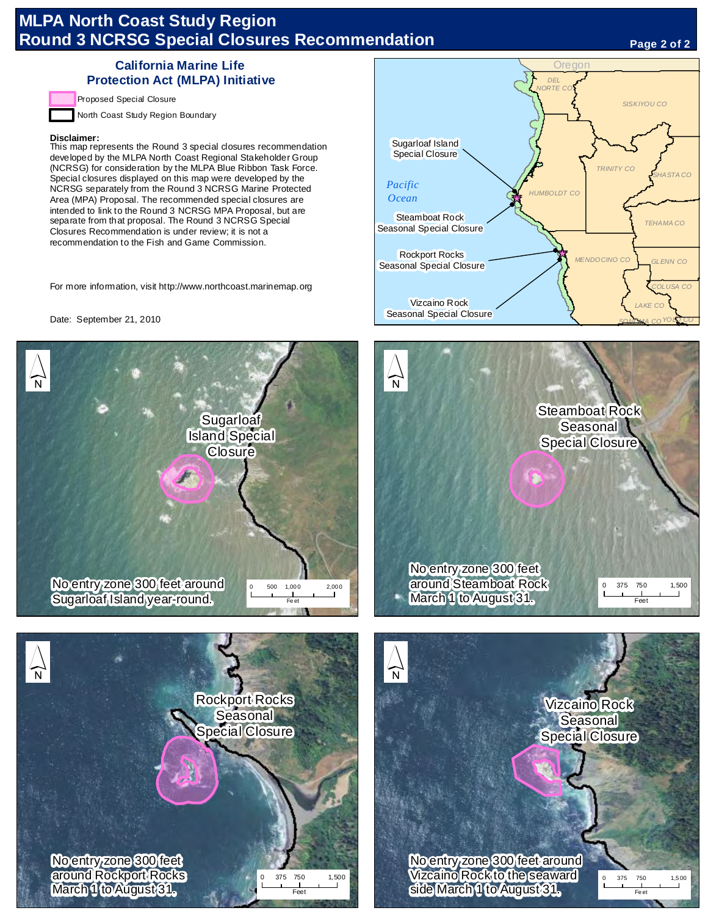# **MLPA North Coast Study Region Round 3 NCRSG Special Closures Recommendation**

#### **Page 2 of 2**

#### **California Marine Life Protection Act (MLPA) Initiative**

Proposed Special Closure

North Coast Study Region Boundary

#### **Disclaimer:**

This map represents the Round 3 special closures recommendation developed by the MLPA North Coast Regional Stakeholder Group (NCRSG) for consideration by the MLPA Blue Ribbon Task Force. Special closures displayed on this map were developed by the NCRSG separately from the Round 3 NCRSG Marine Protected Area (MPA) Proposal. The recommended special closures are intended to link to the Round 3 NCRSG MPA Proposal, but are separate from that proposal. The Round 3 NCRSG Special Closures Recommendation is under review; it is not a recommendation to the Fish and Game Commission.

For more information, visit http://www.northcoast.marinemap.org

Date: September 21, 2010









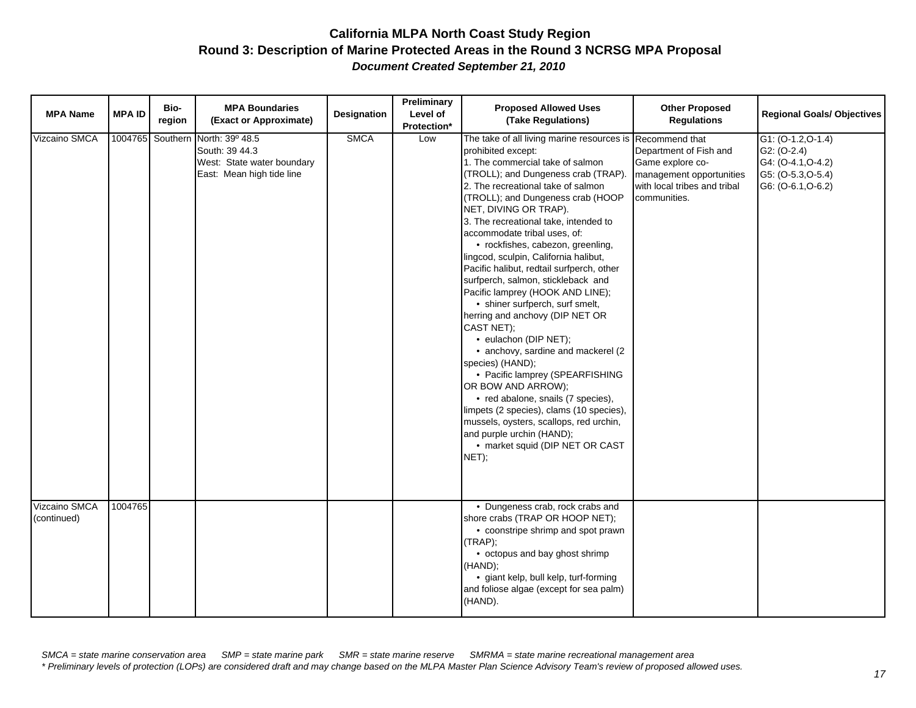| <b>MPA Name</b>              | <b>MPA ID</b> | Bio-<br>region   | <b>MPA Boundaries</b><br>(Exact or Approximate)                                              | <b>Designation</b> | Preliminary<br>Level of<br>Protection* | <b>Proposed Allowed Uses</b><br>(Take Regulations)                                                                                                                                                                                                                                                                                                                                                                                                                                                                                                                                                                                                                                                                                                                                                                                                                                                                                                                  | <b>Other Proposed</b><br><b>Regulations</b>                                                                                              | <b>Regional Goals/ Objectives</b>                                                                       |
|------------------------------|---------------|------------------|----------------------------------------------------------------------------------------------|--------------------|----------------------------------------|---------------------------------------------------------------------------------------------------------------------------------------------------------------------------------------------------------------------------------------------------------------------------------------------------------------------------------------------------------------------------------------------------------------------------------------------------------------------------------------------------------------------------------------------------------------------------------------------------------------------------------------------------------------------------------------------------------------------------------------------------------------------------------------------------------------------------------------------------------------------------------------------------------------------------------------------------------------------|------------------------------------------------------------------------------------------------------------------------------------------|---------------------------------------------------------------------------------------------------------|
| Vizcaino SMCA                |               | 1004765 Southern | North: 39º 48.5<br>South: 39 44.3<br>West: State water boundary<br>East: Mean high tide line | <b>SMCA</b>        | Low                                    | The take of all living marine resources is<br>prohibited except:<br>1. The commercial take of salmon<br>(TROLL); and Dungeness crab (TRAP).<br>2. The recreational take of salmon<br>(TROLL); and Dungeness crab (HOOP<br>NET, DIVING OR TRAP).<br>3. The recreational take, intended to<br>accommodate tribal uses, of:<br>• rockfishes, cabezon, greenling,<br>lingcod, sculpin, California halibut,<br>Pacific halibut, redtail surfperch, other<br>surfperch, salmon, stickleback and<br>Pacific lamprey (HOOK AND LINE);<br>• shiner surfperch, surf smelt,<br>herring and anchovy (DIP NET OR<br>CAST NET);<br>· eulachon (DIP NET);<br>• anchovy, sardine and mackerel (2<br>species) (HAND);<br>• Pacific lamprey (SPEARFISHING<br>OR BOW AND ARROW);<br>• red abalone, snails (7 species),<br>limpets (2 species), clams (10 species),<br>mussels, oysters, scallops, red urchin,<br>and purple urchin (HAND);<br>• market squid (DIP NET OR CAST<br>NET); | Recommend that<br>Department of Fish and<br>Game explore co-<br>management opportunities<br>with local tribes and tribal<br>communities. | $G1: (O-1.2, O-1.4)$<br>$G2: (O-2.4)$<br>G4: (O-4.1, O-4.2)<br>G5: (O-5.3, O-5.4)<br>G6: (O-6.1, O-6.2) |
| Vizcaino SMCA<br>(continued) | 1004765       |                  |                                                                                              |                    |                                        | • Dungeness crab, rock crabs and<br>shore crabs (TRAP OR HOOP NET);<br>• coonstripe shrimp and spot prawn<br>(TRAP);<br>• octopus and bay ghost shrimp<br>(HAND);<br>· giant kelp, bull kelp, turf-forming<br>and foliose algae (except for sea palm)<br>(HAND).                                                                                                                                                                                                                                                                                                                                                                                                                                                                                                                                                                                                                                                                                                    |                                                                                                                                          |                                                                                                         |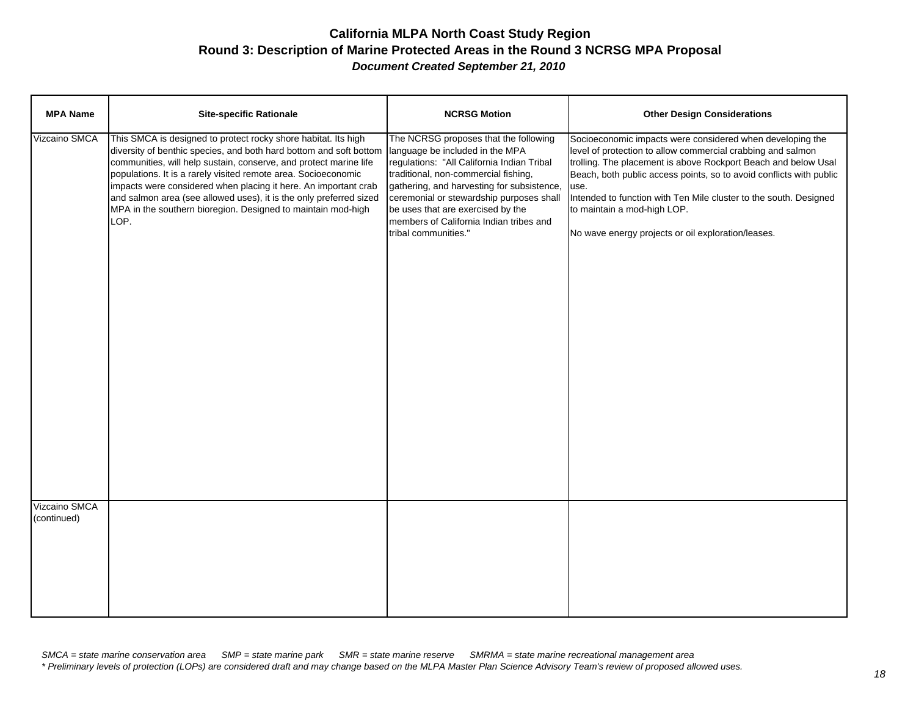| <b>MPA Name</b>              | <b>Site-specific Rationale</b>                                                                                                                                                                                                                                                                                                                                                                                                                                                               | <b>NCRSG Motion</b>                                                                                                                                                                                                                                                                                                                                              | <b>Other Design Considerations</b>                                                                                                                                                                                                                                                                                                                                                                                                  |
|------------------------------|----------------------------------------------------------------------------------------------------------------------------------------------------------------------------------------------------------------------------------------------------------------------------------------------------------------------------------------------------------------------------------------------------------------------------------------------------------------------------------------------|------------------------------------------------------------------------------------------------------------------------------------------------------------------------------------------------------------------------------------------------------------------------------------------------------------------------------------------------------------------|-------------------------------------------------------------------------------------------------------------------------------------------------------------------------------------------------------------------------------------------------------------------------------------------------------------------------------------------------------------------------------------------------------------------------------------|
| Vizcaino SMCA                | This SMCA is designed to protect rocky shore habitat. Its high<br>diversity of benthic species, and both hard bottom and soft bottom<br>communities, will help sustain, conserve, and protect marine life<br>populations. It is a rarely visited remote area. Socioeconomic<br>impacts were considered when placing it here. An important crab<br>and salmon area (see allowed uses), it is the only preferred sized<br>MPA in the southern bioregion. Designed to maintain mod-high<br>LOP. | The NCRSG proposes that the following<br>language be included in the MPA<br>regulations: "All California Indian Tribal<br>traditional, non-commercial fishing,<br>gathering, and harvesting for subsistence,<br>ceremonial or stewardship purposes shall<br>be uses that are exercised by the<br>members of California Indian tribes and<br>tribal communities." | Socioeconomic impacts were considered when developing the<br>level of protection to allow commercial crabbing and salmon<br>trolling. The placement is above Rockport Beach and below Usal<br>Beach, both public access points, so to avoid conflicts with public<br>use.<br>Intended to function with Ten Mile cluster to the south. Designed<br>to maintain a mod-high LOP.<br>No wave energy projects or oil exploration/leases. |
| Vizcaino SMCA<br>(continued) |                                                                                                                                                                                                                                                                                                                                                                                                                                                                                              |                                                                                                                                                                                                                                                                                                                                                                  |                                                                                                                                                                                                                                                                                                                                                                                                                                     |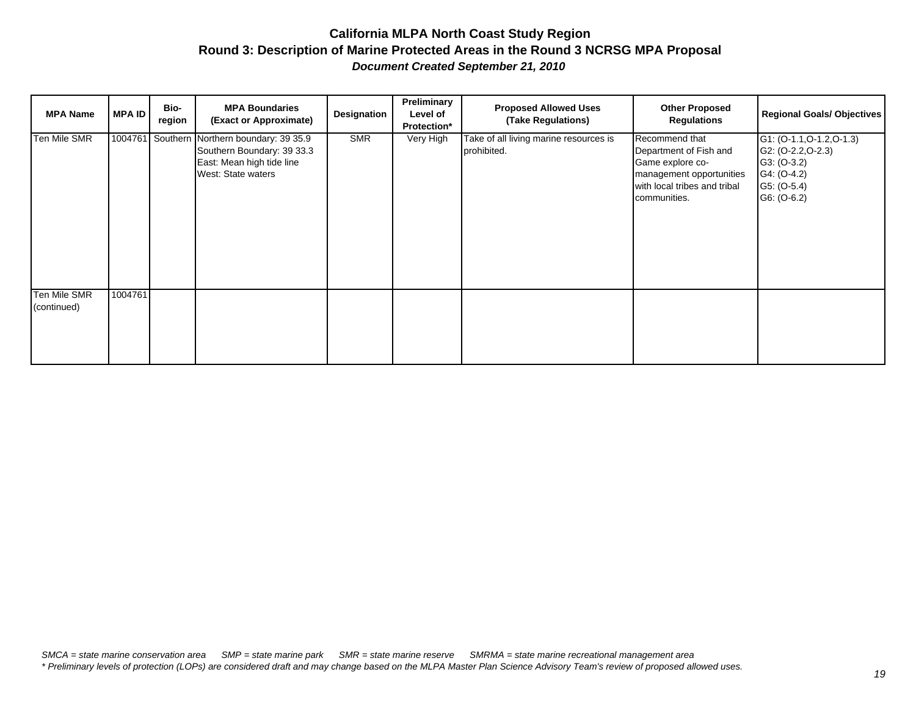| <b>MPA Name</b>             | <b>MPA ID</b> | Bio-<br>region | <b>MPA Boundaries</b><br>(Exact or Approximate)                                                                              | Designation | Preliminary<br>Level of<br>Protection* | <b>Proposed Allowed Uses</b><br>(Take Regulations)    | <b>Other Proposed</b><br><b>Regulations</b>                                                                                              | <b>Regional Goals/ Objectives</b>                                                                                   |
|-----------------------------|---------------|----------------|------------------------------------------------------------------------------------------------------------------------------|-------------|----------------------------------------|-------------------------------------------------------|------------------------------------------------------------------------------------------------------------------------------------------|---------------------------------------------------------------------------------------------------------------------|
| Ten Mile SMR                |               |                | 1004761 Southern Northern boundary: 39 35.9<br>Southern Boundary: 39 33.3<br>East: Mean high tide line<br>West: State waters | <b>SMR</b>  | Very High                              | Take of all living marine resources is<br>prohibited. | Recommend that<br>Department of Fish and<br>Game explore co-<br>management opportunities<br>with local tribes and tribal<br>communities. | $G1: (O-1.1, O-1.2, O-1.3)$<br>$G2: (O-2.2, O-2.3)$<br>$G3: (O-3.2)$<br>G4: (O-4.2)<br>G5: (O-5.4)<br>$G6: (O-6.2)$ |
| Ten Mile SMR<br>(continued) | 1004761       |                |                                                                                                                              |             |                                        |                                                       |                                                                                                                                          |                                                                                                                     |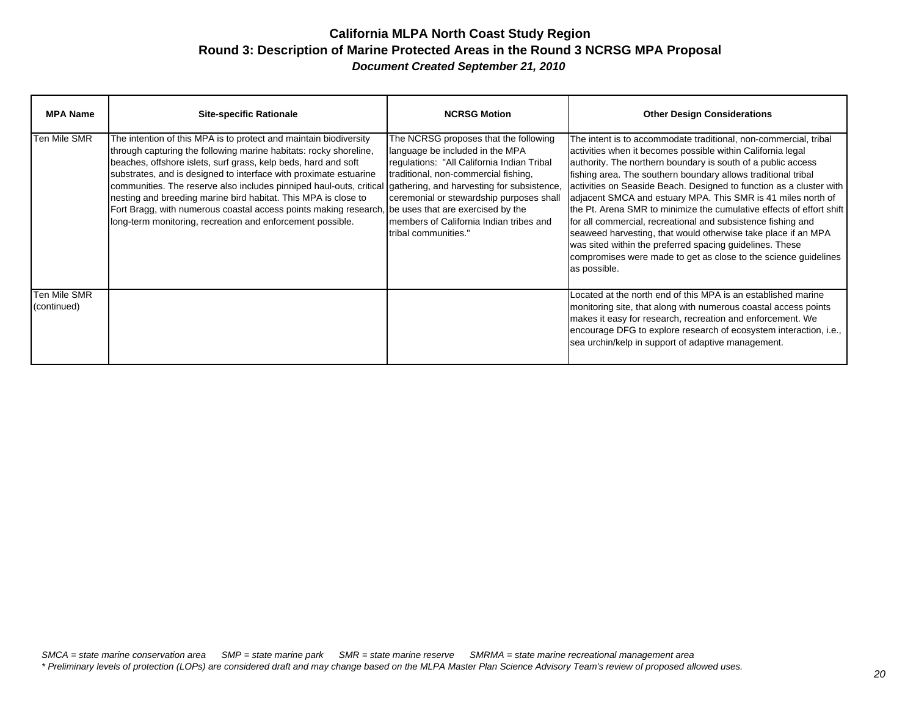| <b>MPA Name</b>             | <b>Site-specific Rationale</b>                                                                                                                                                                                                                                                                                                                                                                                                                                                                                                                                                                                                        | <b>NCRSG Motion</b>                                                                                                                                                                                                                                                            | <b>Other Design Considerations</b>                                                                                                                                                                                                                                                                                                                                                                                                                                                                                                                                                                                                                                                                                                                              |
|-----------------------------|---------------------------------------------------------------------------------------------------------------------------------------------------------------------------------------------------------------------------------------------------------------------------------------------------------------------------------------------------------------------------------------------------------------------------------------------------------------------------------------------------------------------------------------------------------------------------------------------------------------------------------------|--------------------------------------------------------------------------------------------------------------------------------------------------------------------------------------------------------------------------------------------------------------------------------|-----------------------------------------------------------------------------------------------------------------------------------------------------------------------------------------------------------------------------------------------------------------------------------------------------------------------------------------------------------------------------------------------------------------------------------------------------------------------------------------------------------------------------------------------------------------------------------------------------------------------------------------------------------------------------------------------------------------------------------------------------------------|
| <b>Ten Mile SMR</b>         | The intention of this MPA is to protect and maintain biodiversity<br>through capturing the following marine habitats: rocky shoreline,<br>beaches, offshore islets, surf grass, kelp beds, hard and soft<br>substrates, and is designed to interface with proximate estuarine<br>communities. The reserve also includes pinniped haul-outs, critical gathering, and harvesting for subsistence,<br>nesting and breeding marine bird habitat. This MPA is close to<br>Fort Bragg, with numerous coastal access points making research, be uses that are exercised by the<br>long-term monitoring, recreation and enforcement possible. | The NCRSG proposes that the following<br>language be included in the MPA<br>regulations: "All California Indian Tribal<br>traditional, non-commercial fishing,<br>ceremonial or stewardship purposes shall<br>Imembers of California Indian tribes and<br>tribal communities." | The intent is to accommodate traditional, non-commercial, tribal<br>activities when it becomes possible within California legal<br>authority. The northern boundary is south of a public access<br>fishing area. The southern boundary allows traditional tribal<br>activities on Seaside Beach. Designed to function as a cluster with<br>adjacent SMCA and estuary MPA. This SMR is 41 miles north of<br>the Pt. Arena SMR to minimize the cumulative effects of effort shift<br>for all commercial, recreational and subsistence fishing and<br>seaweed harvesting, that would otherwise take place if an MPA<br>was sited within the preferred spacing guidelines. These<br>compromises were made to get as close to the science guidelines<br>as possible. |
| Ten Mile SMR<br>(continued) |                                                                                                                                                                                                                                                                                                                                                                                                                                                                                                                                                                                                                                       |                                                                                                                                                                                                                                                                                | Located at the north end of this MPA is an established marine<br>monitoring site, that along with numerous coastal access points<br>makes it easy for research, recreation and enforcement. We<br>encourage DFG to explore research of ecosystem interaction, i.e.,<br>sea urchin/kelp in support of adaptive management.                                                                                                                                                                                                                                                                                                                                                                                                                                       |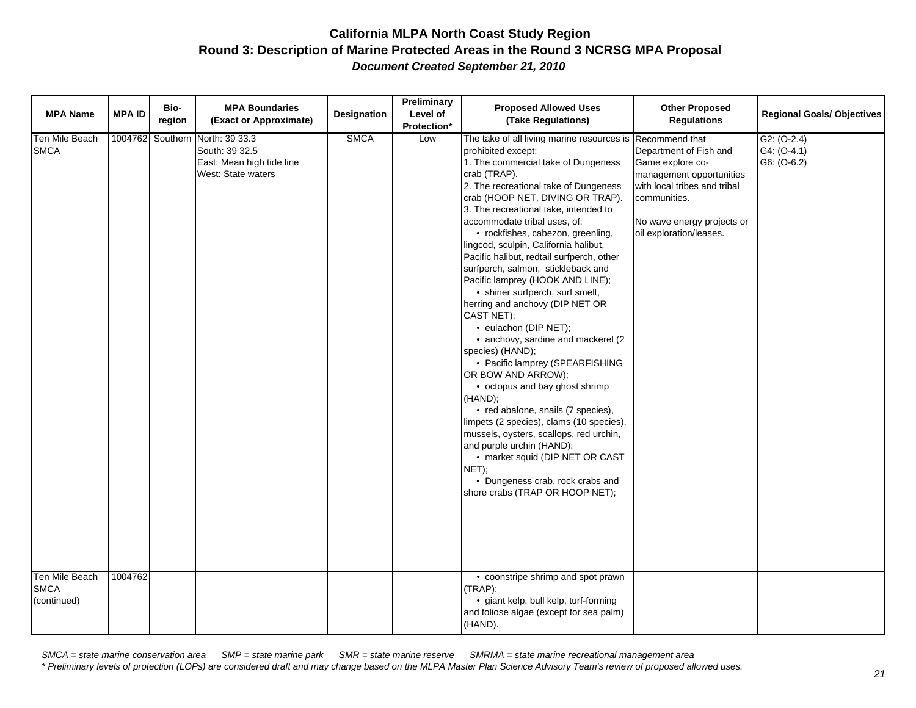| <b>MPA Name</b>                                 | <b>MPA ID</b>      | Bio-<br>region | <b>MPA Boundaries</b><br>(Exact or Approximate)                                              | <b>Designation</b> | Preliminary<br>Level of<br>Protection* | <b>Proposed Allowed Uses</b><br>(Take Regulations)                                                                                                                                                                                                                                                                                                                                                                                                                                                                                                                                                                                                                                                                                                                                                                                                                                                                                                                                                                                                                                                | <b>Other Proposed</b><br><b>Regulations</b>                                                                                                                                     | <b>Regional Goals/ Objectives</b>           |
|-------------------------------------------------|--------------------|----------------|----------------------------------------------------------------------------------------------|--------------------|----------------------------------------|---------------------------------------------------------------------------------------------------------------------------------------------------------------------------------------------------------------------------------------------------------------------------------------------------------------------------------------------------------------------------------------------------------------------------------------------------------------------------------------------------------------------------------------------------------------------------------------------------------------------------------------------------------------------------------------------------------------------------------------------------------------------------------------------------------------------------------------------------------------------------------------------------------------------------------------------------------------------------------------------------------------------------------------------------------------------------------------------------|---------------------------------------------------------------------------------------------------------------------------------------------------------------------------------|---------------------------------------------|
| Ten Mile Beach<br><b>SMCA</b><br>Ten Mile Beach | 1004762<br>1004762 |                | Southern North: 39 33.3<br>South: 39 32.5<br>East: Mean high tide line<br>West: State waters | <b>SMCA</b>        | Low                                    | The take of all living marine resources is Recommend that<br>prohibited except:<br>1. The commercial take of Dungeness<br>crab (TRAP).<br>2. The recreational take of Dungeness<br>crab (HOOP NET, DIVING OR TRAP).<br>3. The recreational take, intended to<br>accommodate tribal uses, of:<br>• rockfishes, cabezon, greenling,<br>lingcod, sculpin, California halibut,<br>Pacific halibut, redtail surfperch, other<br>surfperch, salmon, stickleback and<br>Pacific lamprey (HOOK AND LINE);<br>• shiner surfperch, surf smelt,<br>herring and anchovy (DIP NET OR<br>CAST NET);<br>• eulachon (DIP NET);<br>• anchovy, sardine and mackerel (2<br>species) (HAND);<br>• Pacific lamprey (SPEARFISHING<br>OR BOW AND ARROW);<br>• octopus and bay ghost shrimp<br>(HAND);<br>• red abalone, snails (7 species),<br>limpets (2 species), clams (10 species),<br>mussels, oysters, scallops, red urchin,<br>and purple urchin (HAND);<br>• market squid (DIP NET OR CAST<br>NET);<br>• Dungeness crab, rock crabs and<br>shore crabs (TRAP OR HOOP NET);<br>• coonstripe shrimp and spot prawn | Department of Fish and<br>Game explore co-<br>management opportunities<br>with local tribes and tribal<br>communities.<br>No wave energy projects or<br>oil exploration/leases. | $G2: (O-2.4)$<br>G4: (O-4.1)<br>G6: (O-6.2) |
| <b>SMCA</b><br>(continued)                      |                    |                |                                                                                              |                    |                                        | (TRAP);<br>· giant kelp, bull kelp, turf-forming<br>and foliose algae (except for sea palm)<br>(HAND).                                                                                                                                                                                                                                                                                                                                                                                                                                                                                                                                                                                                                                                                                                                                                                                                                                                                                                                                                                                            |                                                                                                                                                                                 |                                             |

*SMCA = state marine conservation area SMP = state marine park SMR = state marine reserve SMRMA = state marine recreational management area \* Preliminary levels of protection (LOPs) are considered draft and may change based on the MLPA Master Plan Science Advisory Team's review of proposed allowed uses.*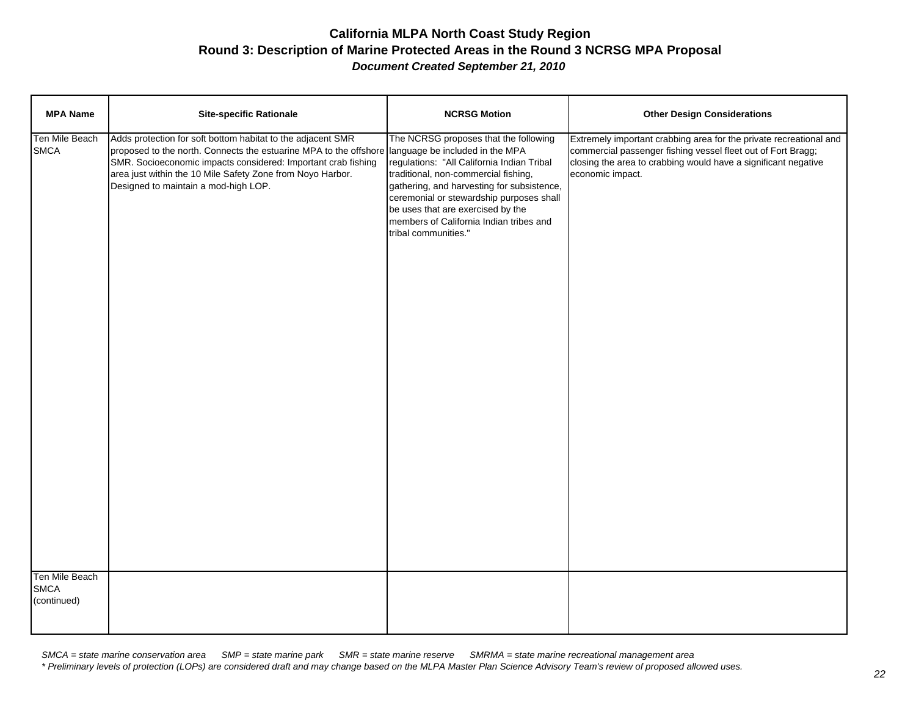| <b>MPA Name</b>                                 | <b>Site-specific Rationale</b>                                                                                                                                                                                                                                                                          | <b>NCRSG Motion</b>                                                                                                                                                                                                                                                                                                                                              | <b>Other Design Considerations</b>                                                                                                                                                                                       |
|-------------------------------------------------|---------------------------------------------------------------------------------------------------------------------------------------------------------------------------------------------------------------------------------------------------------------------------------------------------------|------------------------------------------------------------------------------------------------------------------------------------------------------------------------------------------------------------------------------------------------------------------------------------------------------------------------------------------------------------------|--------------------------------------------------------------------------------------------------------------------------------------------------------------------------------------------------------------------------|
| Ten Mile Beach<br><b>SMCA</b><br>Ten Mile Beach | Adds protection for soft bottom habitat to the adjacent SMR<br>proposed to the north. Connects the estuarine MPA to the offshore<br>SMR. Socioeconomic impacts considered: Important crab fishing<br>area just within the 10 Mile Safety Zone from Noyo Harbor.<br>Designed to maintain a mod-high LOP. | The NCRSG proposes that the following<br>language be included in the MPA<br>regulations: "All California Indian Tribal<br>traditional, non-commercial fishing,<br>gathering, and harvesting for subsistence,<br>ceremonial or stewardship purposes shall<br>be uses that are exercised by the<br>members of California Indian tribes and<br>tribal communities." | Extremely important crabbing area for the private recreational and<br>commercial passenger fishing vessel fleet out of Fort Bragg;<br>closing the area to crabbing would have a significant negative<br>economic impact. |
| <b>SMCA</b><br>(continued)                      |                                                                                                                                                                                                                                                                                                         |                                                                                                                                                                                                                                                                                                                                                                  |                                                                                                                                                                                                                          |

*SMCA = state marine conservation area SMP = state marine park SMR = state marine reserve SMRMA = state marine recreational management area \* Preliminary levels of protection (LOPs) are considered draft and may change based on the MLPA Master Plan Science Advisory Team's review of proposed allowed uses.*